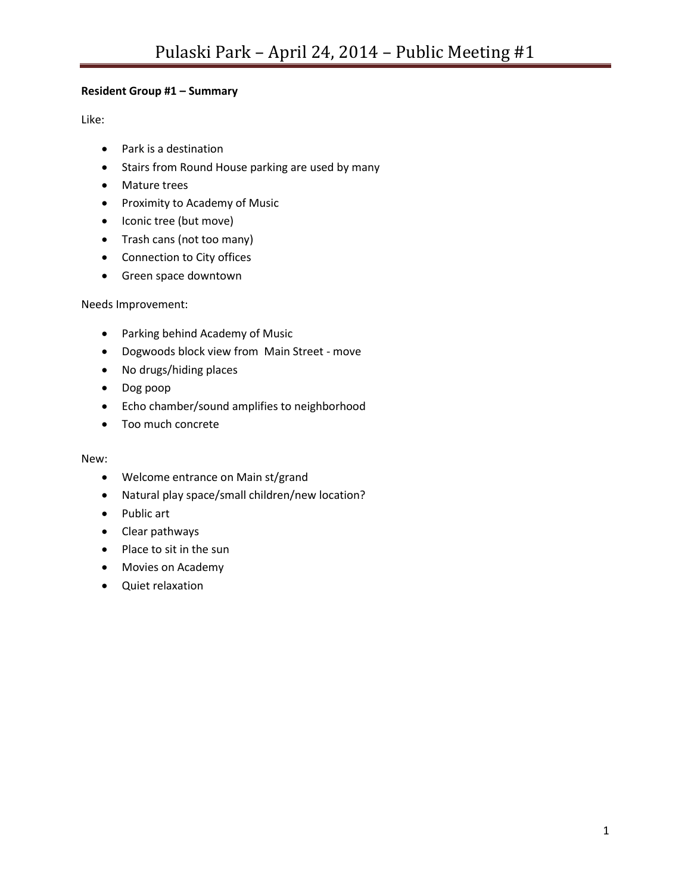# **Resident Group #1 – Summary**

Like:

- Park is a destination
- Stairs from Round House parking are used by many
- Mature trees
- Proximity to Academy of Music
- Iconic tree (but move)
- Trash cans (not too many)
- Connection to City offices
- Green space downtown

Needs Improvement:

- Parking behind Academy of Music
- Dogwoods block view from Main Street move
- No drugs/hiding places
- Dog poop
- Echo chamber/sound amplifies to neighborhood
- Too much concrete

- Welcome entrance on Main st/grand
- Natural play space/small children/new location?
- Public art
- Clear pathways
- Place to sit in the sun
- Movies on Academy
- Quiet relaxation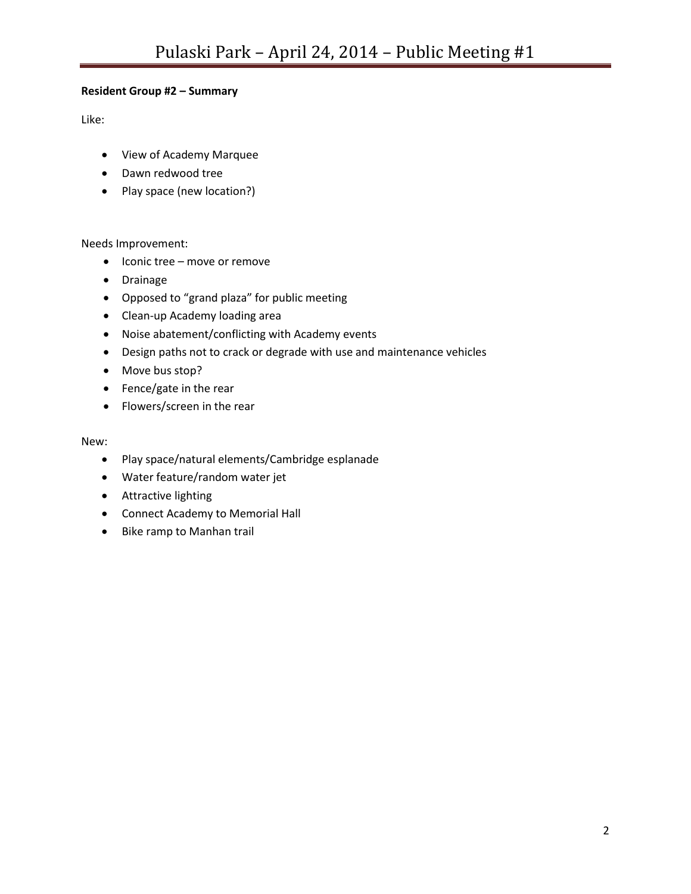## **Resident Group #2 – Summary**

Like:

- View of Academy Marquee
- Dawn redwood tree
- Play space (new location?)

#### Needs Improvement:

- Iconic tree move or remove
- Drainage
- Opposed to "grand plaza" for public meeting
- Clean-up Academy loading area
- Noise abatement/conflicting with Academy events
- Design paths not to crack or degrade with use and maintenance vehicles
- Move bus stop?
- Fence/gate in the rear
- Flowers/screen in the rear

- Play space/natural elements/Cambridge esplanade
- Water feature/random water jet
- Attractive lighting
- Connect Academy to Memorial Hall
- Bike ramp to Manhan trail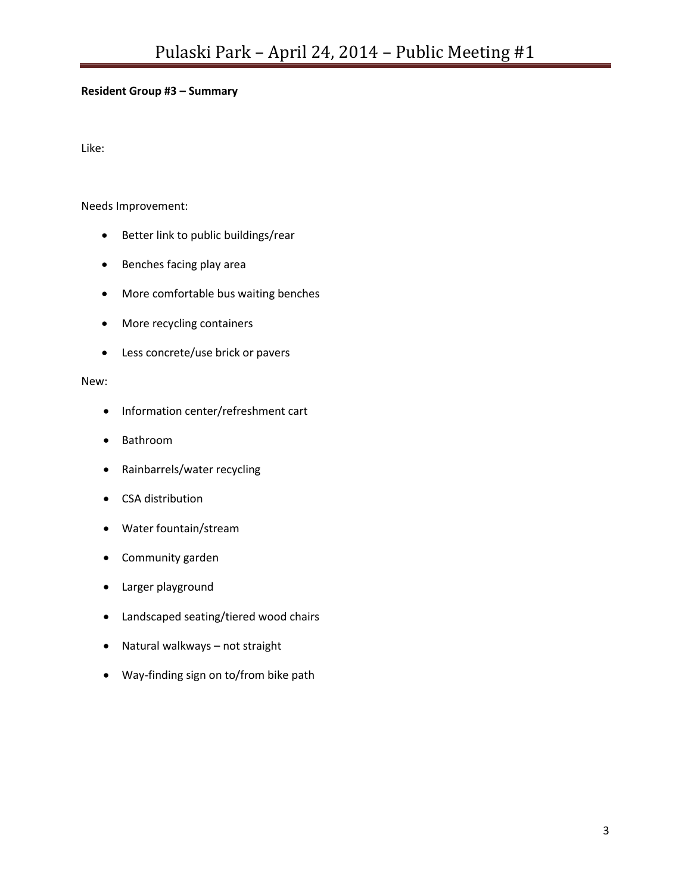## **Resident Group #3 – Summary**

Like:

Needs Improvement:

- Better link to public buildings/rear
- Benches facing play area
- More comfortable bus waiting benches
- More recycling containers
- Less concrete/use brick or pavers

- Information center/refreshment cart
- Bathroom
- Rainbarrels/water recycling
- CSA distribution
- Water fountain/stream
- Community garden
- Larger playground
- Landscaped seating/tiered wood chairs
- Natural walkways not straight
- Way-finding sign on to/from bike path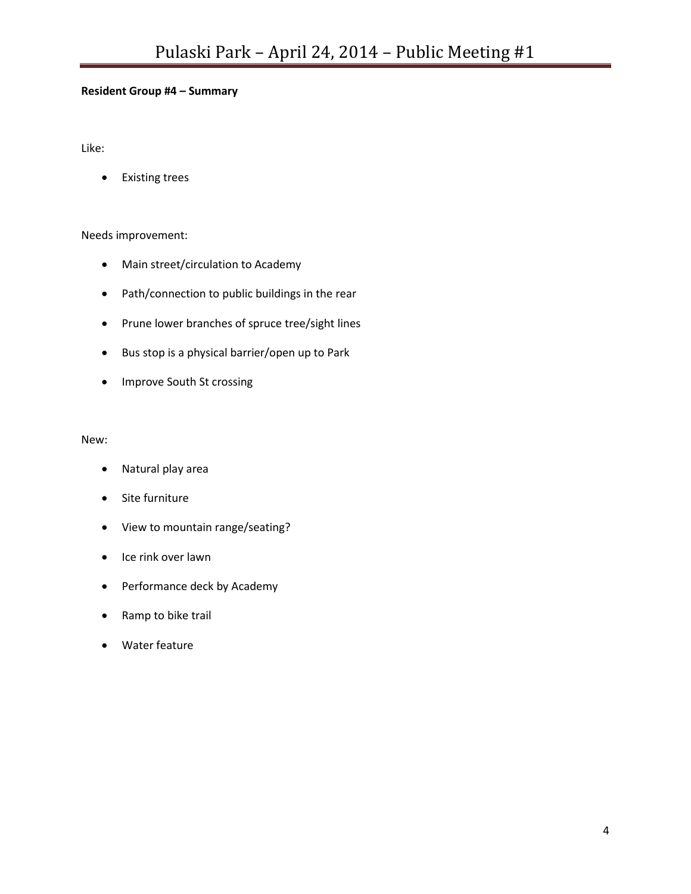## **Resident Group #4 – Summary**

Like:

Existing trees

### Needs improvement:

- Main street/circulation to Academy
- Path/connection to public buildings in the rear
- Prune lower branches of spruce tree/sight lines
- Bus stop is a physical barrier/open up to Park
- Improve South St crossing

- Natural play area
- Site furniture
- View to mountain range/seating?
- Ice rink over lawn
- Performance deck by Academy
- Ramp to bike trail
- Water feature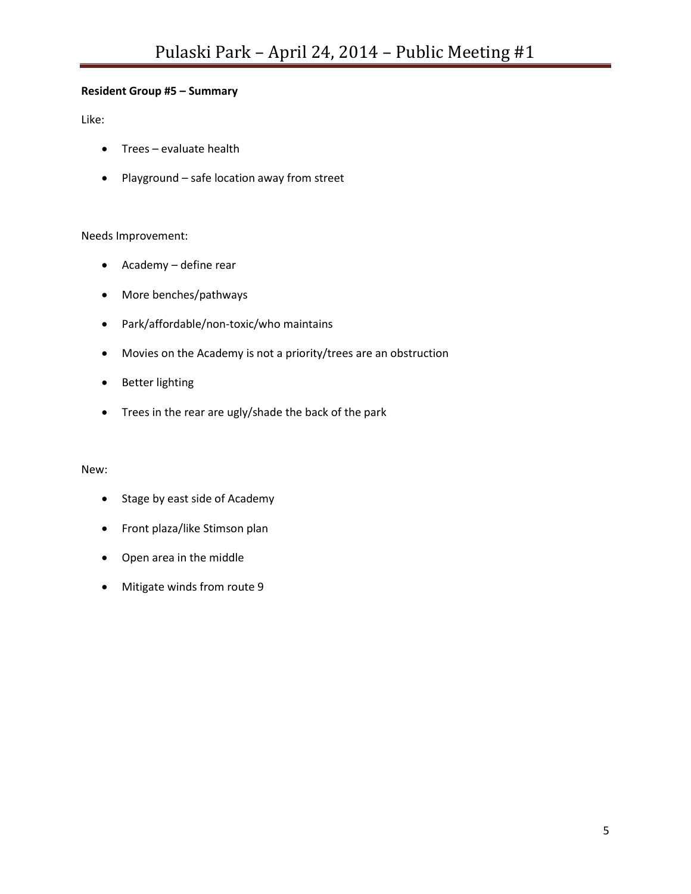## **Resident Group #5 – Summary**

Like:

- Trees evaluate health
- Playground safe location away from street

### Needs Improvement:

- Academy define rear
- More benches/pathways
- Park/affordable/non-toxic/who maintains
- Movies on the Academy is not a priority/trees are an obstruction
- Better lighting
- Trees in the rear are ugly/shade the back of the park

- Stage by east side of Academy
- Front plaza/like Stimson plan
- Open area in the middle
- Mitigate winds from route 9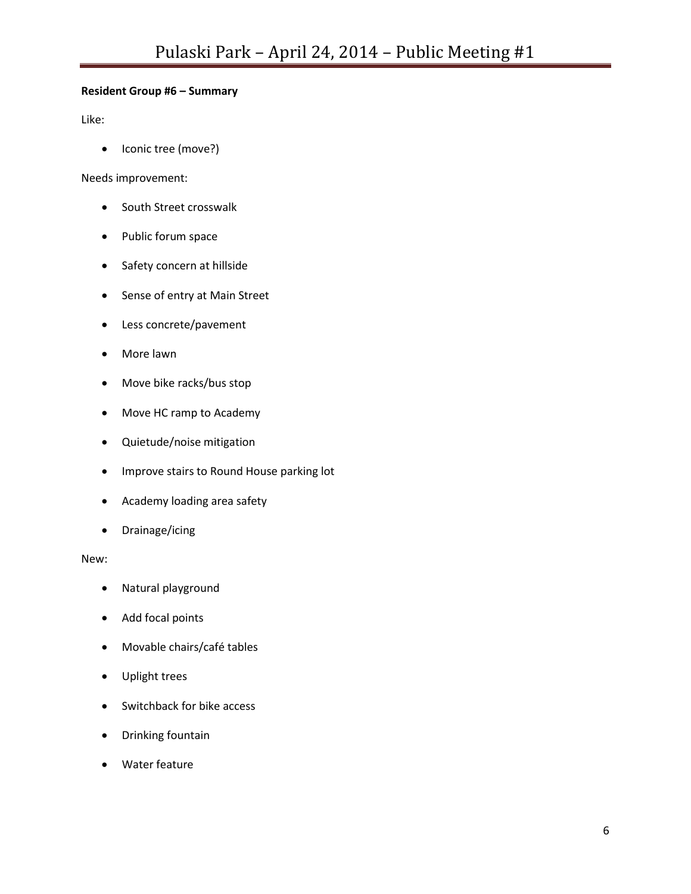## **Resident Group #6 – Summary**

Like:

• Iconic tree (move?)

Needs improvement:

- South Street crosswalk
- Public forum space
- Safety concern at hillside
- Sense of entry at Main Street
- Less concrete/pavement
- More lawn
- Move bike racks/bus stop
- Move HC ramp to Academy
- Quietude/noise mitigation
- **•** Improve stairs to Round House parking lot
- Academy loading area safety
- Drainage/icing

- Natural playground
- Add focal points
- Movable chairs/café tables
- Uplight trees
- Switchback for bike access
- Drinking fountain
- Water feature